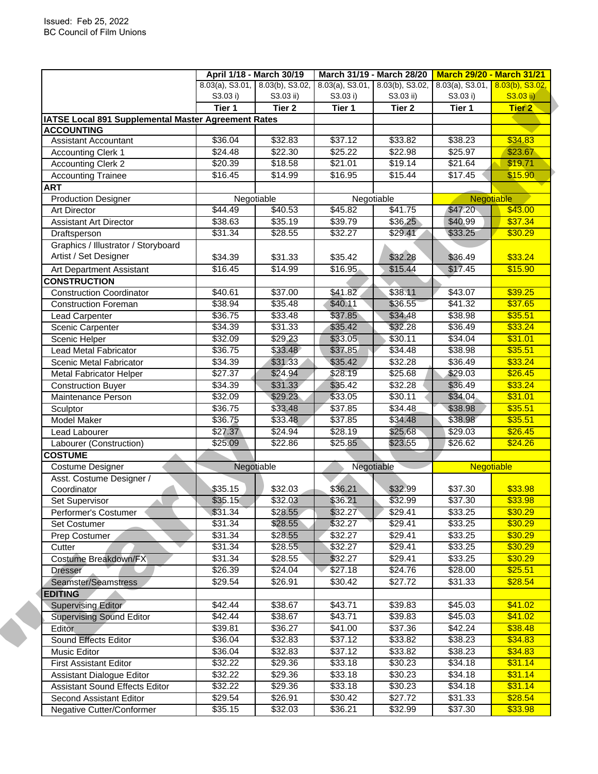|                                                            |                    | April 1/18 - March 30/19        | March 31/19 - March 28/20             |                    | <b>March 29/20 - March 31/21</b>   |                    |
|------------------------------------------------------------|--------------------|---------------------------------|---------------------------------------|--------------------|------------------------------------|--------------------|
|                                                            |                    | 8.03(a), S3.01, 8.03(b), S3.02, | $8.03(a)$ , S3.01, $8.03(b)$ , S3.02, |                    | $8.03(a)$ , S3.01, 8.03(b), S3.02, |                    |
|                                                            | S3.03 i)           | S3.03 ii)                       | S3.03 i)                              | S3.03 ii)          | S3.03 i)                           | S3.03 ii)          |
|                                                            | Tier 1             | Tier <sub>2</sub>               | Tier 1                                | Tier <sub>2</sub>  | Tier 1                             | <b>Tier 2</b>      |
| <b>IATSE Local 891 Supplemental Master Agreement Rates</b> |                    |                                 |                                       |                    |                                    |                    |
| <b>ACCOUNTING</b>                                          |                    |                                 |                                       |                    |                                    |                    |
| <b>Assistant Accountant</b>                                | \$36.04            | \$32.83                         | \$37.12                               | \$33.82            | \$38.23                            | \$34.83            |
| <b>Accounting Clerk 1</b>                                  | $\sqrt{$24.48}$    | \$22.30                         | \$25.22                               | \$22.98            | \$25.97                            | \$23.67            |
| <b>Accounting Clerk 2</b>                                  | \$20.39            | \$18.58                         | \$21.01                               | \$19.14            | \$21.64                            | \$19.71            |
| <b>Accounting Trainee</b>                                  | \$16.45            | \$14.99                         | \$16.95                               | \$15.44            | \$17.45                            | \$15.90            |
| <b>ART</b>                                                 |                    |                                 |                                       |                    |                                    |                    |
| <b>Production Designer</b>                                 |                    | Negotiable                      | Negotiable                            |                    | Negotiable                         |                    |
| <b>Art Director</b>                                        | \$44.49            | \$40.53                         | \$45.82                               | \$41.75            | \$47.20                            | \$43.00            |
| <b>Assistant Art Director</b>                              | \$38.63            | 35.19                           | \$39.79                               | \$36.25            | \$40.99                            | \$37.34            |
| Draftsperson                                               | \$31.34            | $\sqrt{$28.55}$                 | \$32.27                               | \$29.41            | \$33.25                            | \$30.29            |
| Graphics / Illustrator / Storyboard                        |                    |                                 |                                       |                    |                                    |                    |
| Artist / Set Designer                                      | \$34.39            | \$31.33                         | \$35.42                               | \$32.28            | \$36.49                            | \$33.24            |
| Art Department Assistant                                   | \$16.45            | \$14.99                         | \$16.95                               | \$15.44            | \$17.45                            | \$15.90            |
| <b>CONSTRUCTION</b>                                        |                    |                                 |                                       |                    |                                    |                    |
| <b>Construction Coordinator</b>                            | \$40.61            | \$37.00                         | \$41.82                               | \$38.11            | \$43.07                            | \$39.25            |
| <b>Construction Foreman</b>                                | \$38.94            | \$35.48                         | \$40.11                               | \$36.55            | \$41.32                            | \$37.65            |
| Lead Carpenter                                             | \$36.75            | \$33.48                         | \$37.85                               | \$34.48            | \$38.98                            | \$35.51            |
| Scenic Carpenter                                           | \$34.39            | \$31.33                         | \$35.42                               | \$32.28            | \$36.49                            | \$33.24            |
| Scenic Helper                                              | \$32.09            | \$29.23                         | \$33.05                               | \$30.11            | \$34.04                            | \$31.01            |
| <b>Lead Metal Fabricator</b>                               | \$36.75            | \$33.48                         | \$37.85                               | \$34.48            | \$38.98                            | \$35.51            |
| Scenic Metal Fabricator                                    | \$34.39            | \$31.33                         | \$35.42                               | \$32.28            | \$36.49                            | \$33.24            |
| <b>Metal Fabricator Helper</b>                             | \$27.37            | \$24.94                         | \$28.19                               | \$25.68            | \$29.03                            | \$26.45            |
| <b>Construction Buyer</b>                                  | \$34.39            | \$31.33                         | \$35.42                               | \$32.28            | \$36.49                            | \$33.24            |
| Maintenance Person                                         | \$32.09            | \$29.23                         | \$33.05                               | \$30.11            | \$34.04                            | \$31.01            |
|                                                            |                    |                                 |                                       |                    |                                    |                    |
| Sculptor                                                   | \$36.75<br>\$36.75 | \$33.48                         | \$37.85                               | \$34.48<br>\$34.48 | \$38.98<br>\$38.98                 | \$35.51<br>\$35.51 |
| Model Maker                                                |                    | \$33.48                         | \$37.85                               |                    |                                    |                    |
| Lead Labourer                                              | \$27.37            | \$24.94                         | \$28.19                               | \$25.68            | \$29.03                            | \$26.45            |
| Labourer (Construction)                                    | \$25.09            | $\sqrt{$22.86}$                 | \$25.85                               | \$23.55            | \$26.62                            | \$24.26            |
| <b>COSTUME</b>                                             |                    |                                 |                                       |                    |                                    |                    |
| Costume Designer                                           |                    | Negotiable                      | Negotiable                            |                    | Negotiable                         |                    |
| Asst. Costume Designer /                                   |                    |                                 |                                       |                    |                                    | \$33.98            |
| Coordinator                                                | \$35.15            | \$32.03                         | \$36.21                               | \$32.99            | \$37.30                            |                    |
| Set Supervisor                                             | \$35.15            | \$32.03                         | \$36.21                               | \$32.99            | \$37.30                            | \$33.98            |
| Performer's Costumer                                       | \$31.34            | \$28.55                         | \$32.27                               | \$29.41            | \$33.25                            | \$30.29            |
| <b>Set Costumer</b>                                        | \$31.34            | \$28.55                         | \$32.27                               | \$29.41            | \$33.25                            | \$30.29            |
| Prep Costumer                                              | \$31.34            | \$28.55                         | \$32.27                               | \$29.41            | \$33.25                            | \$30.29            |
| Cutter                                                     | \$31.34            | \$28.55                         | \$32.27                               | \$29.41            | \$33.25                            | \$30.29            |
| Costume Breakdown/FX                                       | \$31.34            | \$28.55                         | \$32.27                               | \$29.41            | \$33.25                            | \$30.29            |
| <b>Dresser</b>                                             | \$26.39            | \$24.04                         | \$27.18                               | \$24.76            | \$28.00                            | \$25.51            |
| Seamster/Seamstress                                        | \$29.54            | \$26.91                         | \$30.42                               | \$27.72            | \$31.33                            | \$28.54            |
| <b>EDITING</b>                                             |                    |                                 |                                       |                    |                                    |                    |
| <b>Supervising Editor</b>                                  | \$42.44            | $\overline{$}38.67$             | \$43.71                               | \$39.83            | \$45.03                            | \$41.02            |
| <b>Supervising Sound Editor</b>                            | \$42.44            | \$38.67                         | \$43.71                               | \$39.83            | \$45.03                            | \$41.02            |
| Editor                                                     | \$39.81            | \$36.27                         | \$41.00                               | \$37.36            | \$42.24                            | \$38.48            |
| Sound Effects Editor                                       | \$36.04            | \$32.83                         | \$37.12                               | \$33.82            | \$38.23                            | \$34.83            |
| Music Editor                                               | \$36.04            | \$32.83                         | \$37.12                               | \$33.82            | \$38.23                            | \$34.83            |
| <b>First Assistant Editor</b>                              | \$32.22            | \$29.36                         | \$33.18                               | \$30.23            | \$34.18                            | \$31.14            |
| Assistant Dialogue Editor                                  | \$32.22            | \$29.36                         | \$33.18                               | \$30.23            | \$34.18                            | \$31.14            |
| Assistant Sound Effects Editor                             | \$32.22            | \$29.36                         | \$33.18                               | \$30.23            | \$34.18                            | \$31.14            |
| Second Assistant Editor                                    | \$29.54            | \$26.91                         | \$30.42                               | \$27.72            | \$31.33                            | \$28.54            |
|                                                            |                    |                                 |                                       |                    |                                    |                    |
| Negative Cutter/Conformer                                  | \$35.15            | \$32.03                         | \$36.21                               | \$32.99            | \$37.30                            | \$33.98            |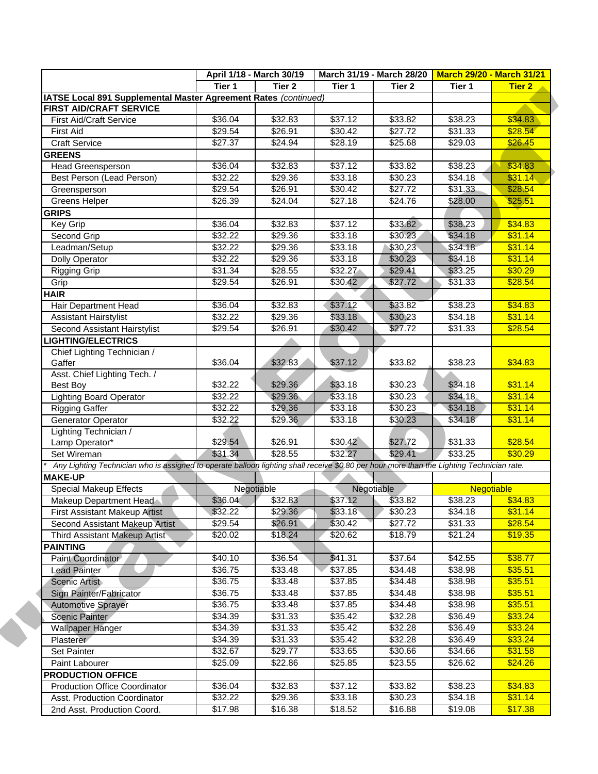|                                                                                                                                           |                 | April 1/18 - March 30/19 |                 | March 31/19 - March 28/20   March 29/20 - March 31/21 |         |               |
|-------------------------------------------------------------------------------------------------------------------------------------------|-----------------|--------------------------|-----------------|-------------------------------------------------------|---------|---------------|
|                                                                                                                                           | Tier 1          | Tier 2                   | Tier 1          | Tier 2                                                | Tier 1  | <b>Tier 2</b> |
| IATSE Local 891 Supplemental Master Agreement Rates (continued)                                                                           |                 |                          |                 |                                                       |         |               |
| <b>FIRST AID/CRAFT SERVICE</b>                                                                                                            |                 |                          |                 |                                                       |         |               |
| <b>First Aid/Craft Service</b>                                                                                                            | \$36.04         | \$32.83                  | \$37.12         | \$33.82                                               | \$38.23 | \$34.83       |
| <b>First Aid</b>                                                                                                                          | \$29.54         | \$26.91                  | \$30.42         | \$27.72                                               | \$31.33 | \$28.54       |
| <b>Craft Service</b>                                                                                                                      | \$27.37         | \$24.94                  | \$28.19         | \$25.68                                               | \$29.03 | \$26.45       |
| <b>GREENS</b>                                                                                                                             |                 |                          |                 |                                                       |         |               |
| <b>Head Greensperson</b>                                                                                                                  | \$36.04         | \$32.83                  | \$37.12         | \$33.82                                               | \$38.23 | \$34.83       |
| Best Person (Lead Person)                                                                                                                 | \$32.22         | \$29.36                  | \$33.18         | \$30.23                                               | \$34.18 | \$31.14       |
| Greensperson                                                                                                                              | \$29.54         | \$26.91                  | \$30.42         | \$27.72                                               | \$31.33 | \$28.54       |
| Greens Helper                                                                                                                             | \$26.39         | \$24.04                  | \$27.18         | \$24.76                                               | \$28.00 | \$25.51       |
| <b>GRIPS</b>                                                                                                                              |                 |                          |                 |                                                       |         |               |
| Key Grip                                                                                                                                  | \$36.04         | \$32.83                  | \$37.12         | \$33.82                                               | \$38.23 | \$34.83       |
| Second Grip                                                                                                                               | \$32.22         | \$29.36                  | \$33.18         | \$30.23                                               | \$34.18 | \$31.14       |
| Leadman/Setup                                                                                                                             | \$32.22         | \$29.36                  | \$33.18         | \$30.23                                               | \$34.18 | \$31.14       |
| <b>Dolly Operator</b>                                                                                                                     | $\sqrt{$32.22}$ | \$29.36                  | \$33.18         | \$30.23                                               | \$34.18 | \$31.14       |
| Rigging Grip                                                                                                                              | \$31.34         | \$28.55                  | \$32.27         | \$29.41                                               | \$33.25 | \$30.29       |
| Grip                                                                                                                                      | \$29.54         | \$26.91                  | \$30.42         | \$27.72                                               | \$31.33 | \$28.54       |
| HAIR                                                                                                                                      |                 |                          |                 |                                                       |         |               |
| Hair Department Head                                                                                                                      | \$36.04         | \$32.83                  | \$37.12         | \$33.82                                               | \$38.23 | \$34.83       |
| <b>Assistant Hairstylist</b>                                                                                                              | \$32.22         | \$29.36                  | \$33.18         | \$30.23                                               | \$34.18 | \$31.14       |
| Second Assistant Hairstylist                                                                                                              | \$29.54         | \$26.91                  | \$30.42         | \$27.72                                               | \$31.33 | \$28.54       |
| <b>LIGHTING/ELECTRICS</b>                                                                                                                 |                 |                          |                 |                                                       |         |               |
| Chief Lighting Technician /                                                                                                               |                 |                          |                 |                                                       |         |               |
| Gaffer                                                                                                                                    | \$36.04         | \$32.83                  | \$37.12         | \$33.82                                               | \$38.23 | \$34.83       |
| Asst. Chief Lighting Tech. /                                                                                                              |                 |                          |                 |                                                       |         |               |
| <b>Best Boy</b>                                                                                                                           | \$32.22         | \$29.36                  | \$33.18         | \$30.23                                               | \$34.18 | \$31.14       |
| <b>Lighting Board Operator</b>                                                                                                            | \$32.22         | \$29.36                  | \$33.18         | \$30.23                                               | \$34.18 | \$31.14       |
| <b>Rigging Gaffer</b>                                                                                                                     | \$32.22         | \$29.36                  | 333.18          | \$30.23                                               | \$34.18 | \$31.14       |
| Generator Operator                                                                                                                        | \$32.22         | \$29.36                  | \$33.18         | \$30.23                                               | \$34.18 | \$31.14       |
| Lighting Technician /                                                                                                                     |                 |                          |                 |                                                       |         |               |
| Lamp Operator*                                                                                                                            | \$29.54         | \$26.91                  | \$30.42         | \$27.72                                               | \$31.33 | \$28.54       |
| Set Wireman                                                                                                                               | \$31.34         | \$28.55                  | \$32.27         | \$29.41                                               | \$33.25 | \$30.29       |
| Any Lighting Technician who is assigned to operate balloon lighting shall receive \$0.80 per hour more than the Lighting Technician rate. |                 |                          |                 |                                                       |         |               |
| <b>MAKE-UP</b>                                                                                                                            |                 |                          |                 |                                                       |         |               |
| Special Makeup Effects                                                                                                                    |                 | Negotiable               |                 | Negotiable                                            |         | Negotiable    |
| Makeup Department Head                                                                                                                    | \$36.04         | \$32.83                  | \$37.12         | \$33.82                                               | \$38.23 | \$34.83       |
| First Assistant Makeup Artist                                                                                                             | \$32.22         | \$29.36                  | \$33.18         | \$30.23                                               | \$34.18 | \$31.14       |
| Second Assistant Makeup Artist                                                                                                            | \$29.54         | \$26.91                  | \$30.42         | \$27.72                                               | \$31.33 | \$28.54       |
| Third Assistant Makeup Artist                                                                                                             | \$20.02         | \$18.24                  | $\sqrt{$20.62}$ | \$18.79                                               | \$21.24 | \$19.35       |
| <b>PAINTING</b>                                                                                                                           |                 |                          |                 |                                                       |         |               |
| Paint Coordinator                                                                                                                         | \$40.10         | \$36.54                  | \$41.31         | \$37.64                                               | \$42.55 | \$38.77       |
| <b>Lead Painter</b>                                                                                                                       | \$36.75         | \$33.48                  | \$37.85         | \$34.48                                               | \$38.98 | \$35.51       |
| Scenic Artist                                                                                                                             | \$36.75         | \$33.48                  | \$37.85         | \$34.48                                               | \$38.98 | \$35.51       |
| Sign Painter/Fabricator                                                                                                                   | \$36.75         | \$33.48                  | \$37.85         | \$34.48                                               | \$38.98 | \$35.51       |
| <b>Automotive Sprayer</b>                                                                                                                 | \$36.75         | \$33.48                  | \$37.85         | \$34.48                                               | \$38.98 | \$35.51       |
| Scenic Painter                                                                                                                            | \$34.39         | \$31.33                  | \$35.42         | \$32.28                                               | \$36.49 | \$33.24       |
| <b>Wallpaper Hanger</b>                                                                                                                   | \$34.39         | \$31.33                  | \$35.42         | \$32.28                                               | \$36.49 | \$33.24       |
| Plasterer                                                                                                                                 | \$34.39         | \$31.33                  | \$35.42         | \$32.28                                               | \$36.49 | \$33.24       |
| Set Painter                                                                                                                               | \$32.67         | \$29.77                  | \$33.65         | \$30.66                                               | \$34.66 | \$31.58       |
|                                                                                                                                           | \$25.09         | \$22.86                  |                 |                                                       |         | \$24.26       |
| Paint Labourer                                                                                                                            |                 |                          | \$25.85         | \$23.55                                               | \$26.62 |               |
| <b>PRODUCTION OFFICE</b>                                                                                                                  |                 |                          |                 |                                                       |         |               |
| <b>Production Office Coordinator</b>                                                                                                      | \$36.04         | \$32.83                  | \$37.12         | \$33.82                                               | \$38.23 | \$34.83       |
| Asst. Production Coordinator                                                                                                              | \$32.22         | \$29.36                  | \$33.18         | \$30.23                                               | \$34.18 | \$31.14       |
| 2nd Asst. Production Coord.                                                                                                               | \$17.98         | \$16.38                  | \$18.52         | \$16.88                                               | \$19.08 | \$17.38       |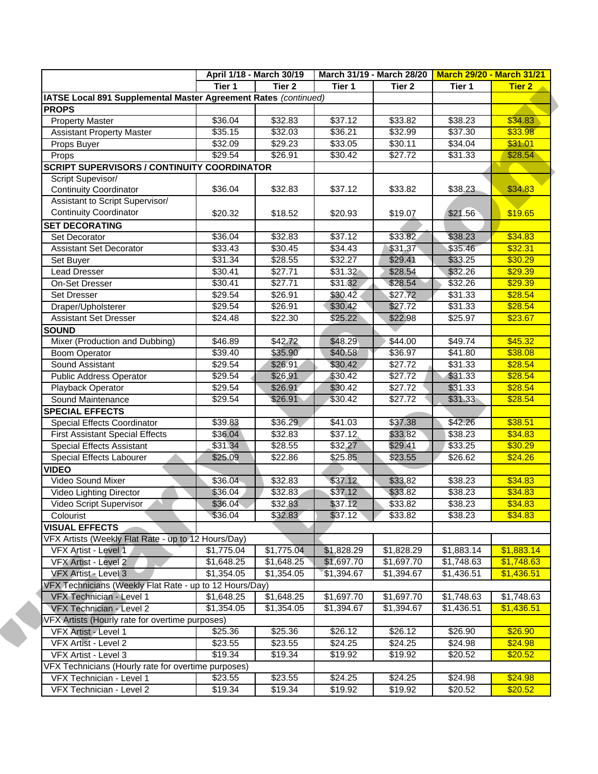|                                                                 | April 1/18 - March 30/19 |                     | March 31/19 - March 28/20   March 29/20 - March 31/21 |                 |            |               |
|-----------------------------------------------------------------|--------------------------|---------------------|-------------------------------------------------------|-----------------|------------|---------------|
|                                                                 | Tier 1                   | Tier 2              | Tier 1                                                | Tier 2          | Tier 1     | <b>Tier 2</b> |
| IATSE Local 891 Supplemental Master Agreement Rates (continued) |                          |                     |                                                       |                 |            |               |
| <b>PROPS</b>                                                    |                          |                     |                                                       |                 |            |               |
| <b>Property Master</b>                                          | \$36.04                  | \$32.83             | \$37.12                                               | \$33.82         | \$38.23    | \$34.83       |
| <b>Assistant Property Master</b>                                | \$35.15                  | \$32.03             | \$36.21                                               | \$32.99         | \$37.30    | \$33.98       |
| Props Buyer                                                     | \$32.09                  | \$29.23             | \$33.05                                               | \$30.11         | \$34.04    | \$31.01       |
| Props                                                           | \$29.54                  | \$26.91             | \$30.42                                               | \$27.72         | \$31.33    | \$28.54       |
| <b>SCRIPT SUPERVISORS / CONTINUITY COORDINATOR</b>              |                          |                     |                                                       |                 |            |               |
| Script Supevisor/                                               |                          |                     |                                                       |                 |            |               |
| <b>Continuity Coordinator</b>                                   | \$36.04                  | \$32.83             | \$37.12                                               | \$33.82         | \$38.23    | \$34.83       |
| Assistant to Script Supervisor/                                 |                          |                     |                                                       |                 |            |               |
| <b>Continuity Coordinator</b>                                   | \$20.32                  | \$18.52             | \$20.93                                               | \$19.07         | \$21.56    | \$19.65       |
| <b>SET DECORATING</b>                                           |                          |                     |                                                       |                 |            |               |
| Set Decorator                                                   | \$36.04                  | \$32.83             | \$37.12                                               | \$33.82         | \$38.23    | \$34.83       |
| <b>Assistant Set Decorator</b>                                  | \$33.43                  | \$30.45             | \$34.43                                               | \$31.37         | \$35.46    | \$32.31       |
| Set Buyer                                                       | \$31.34                  | \$28.55             | \$32.27                                               | \$29.41         | \$33.25    | \$30.29       |
| <b>Lead Dresser</b>                                             | \$30.41                  | \$27.71             | \$31.32                                               | \$28.54         | \$32.26    | \$29.39       |
| On-Set Dresser                                                  | \$30.41                  | \$27.71             | \$31.32                                               | \$28.54         | \$32.26    | \$29.39       |
|                                                                 | \$29.54                  | \$26.91             | \$30.42                                               | \$27.72         | \$31.33    | \$28.54       |
| Set Dresser                                                     |                          |                     |                                                       |                 |            |               |
| Draper/Upholsterer                                              | \$29.54                  | \$26.91             | \$30.42                                               | \$27.72         | \$31.33    | \$28.54       |
| <b>Assistant Set Dresser</b>                                    | \$24.48                  | \$22.30             | \$25.22                                               | \$22.98         | \$25.97    | \$23.67       |
| <b>SOUND</b>                                                    |                          |                     |                                                       |                 |            |               |
| Mixer (Production and Dubbing)                                  | \$46.89                  | \$42.72             | \$48.29                                               | \$44.00         | \$49.74    | \$45.32       |
| <b>Boom Operator</b>                                            | $\sqrt{$39.40}$          | \$35.90             | \$40.58                                               | \$36.97         | \$41.80    | \$38.08       |
| Sound Assistant                                                 | \$29.54                  | \$26.91             | \$30.42                                               | \$27.72         | \$31.33    | \$28.54       |
| <b>Public Address Operator</b>                                  | \$29.54                  | \$26.91             | \$30.42                                               | \$27.72         | \$31.33    | \$28.54       |
| Playback Operator                                               | \$29.54                  | \$26.91             | \$30.42                                               | \$27.72         | \$31.33    | \$28.54       |
| Sound Maintenance                                               | \$29.54                  | \$26.91             | \$30.42                                               | \$27.72         | \$31.33    | \$28.54       |
| <b>SPECIAL EFFECTS</b>                                          |                          |                     |                                                       |                 |            |               |
| Special Effects Coordinator                                     | \$39.83                  | \$36.29             | \$41.03                                               | \$37.38         | \$42.26    | \$38.51       |
| <b>First Assistant Special Effects</b>                          | \$36.04                  | \$32.83             | \$37.12                                               | \$33.82         | \$38.23    | \$34.83       |
| Special Effects Assistant                                       | \$31.34                  | \$28.55             | \$32.27                                               | \$29.41         | \$33.25    | \$30.29       |
| <b>Special Effects Labourer</b>                                 | \$25.09                  | \$22.86             | $$25.\overline{85}$                                   | \$23.55         | \$26.62    | \$24.26       |
| <b>VIDEO</b>                                                    |                          |                     |                                                       |                 |            |               |
| Video Sound Mixer                                               | \$36.04                  | \$32.83             | \$37.12                                               | \$33.82         | \$38.23    | \$34.83       |
| Video Lighting Director                                         | \$36.04                  | \$32.83             | \$37.12                                               | \$33.82         | \$38.23    | \$34.83       |
| Video Script Supervisor                                         | \$36.04                  | \$32.83             | \$37.12                                               | \$33.82         | \$38.23    | \$34.83       |
| Colourist                                                       | \$36.04                  | \$32.83             | \$37.12                                               | \$33.82         | \$38.23    | \$34.83       |
| <b>VISUAL EFFECTS</b>                                           |                          |                     |                                                       |                 |            |               |
| VFX Artists (Weekly Flat Rate - up to 12 Hours/Day)             |                          |                     |                                                       |                 |            |               |
| VFX Artist - Level 1                                            | \$1,775.04               | \$1,775.04          | \$1,828.29                                            | \$1,828.29      | \$1,883.14 | \$1,883.14    |
| VFX Artist - Level 2                                            | \$1,648.25               | \$1,648.25          | \$1,697.70                                            | \$1,697.70      | \$1,748.63 | \$1,748.63    |
| VFX Artist - Level 3                                            | \$1,354.05               | \$1,354.05          | \$1,394.67                                            | \$1,394.67      | \$1,436.51 | \$1,436.51    |
| VFX Technicians (Weekly Flat Rate - up to 12 Hours/Day)         |                          |                     |                                                       |                 |            |               |
| VFX Technician - Level 1                                        | \$1,648.25               | \$1,648.25          | \$1,697.70                                            | \$1,697.70      | \$1,748.63 | \$1,748.63    |
| VFX Technician - Level 2                                        | \$1,354.05               |                     |                                                       |                 | \$1,436.51 |               |
|                                                                 |                          | \$1,354.05          | \$1,394.67                                            | \$1,394.67      |            | \$1,436.51    |
| VFX Artists (Hourly rate for overtime purposes)                 |                          |                     |                                                       |                 |            |               |
| VFX Artist - Level 1                                            | \$25.36                  | \$25.36             | \$26.12                                               | $\sqrt{$26.12}$ | \$26.90    | \$26.90       |
| VFX Artist - Level 2                                            | \$23.55                  | \$23.55             | \$24.25                                               | \$24.25         | \$24.98    | \$24.98       |
| VFX Artist - Level 3                                            | \$19.34                  | \$19.34             | \$19.92                                               | \$19.92         | \$20.52    | \$20.52       |
| VFX Technicians (Hourly rate for overtime purposes)             |                          |                     |                                                       |                 |            |               |
| VFX Technician - Level 1                                        | \$23.55                  | $\overline{$}23.55$ | \$24.25                                               | \$24.25         | \$24.98    | \$24.98       |
| VFX Technician - Level 2                                        | \$19.34                  | \$19.34             | \$19.92                                               | \$19.92         | \$20.52    | \$20.52       |